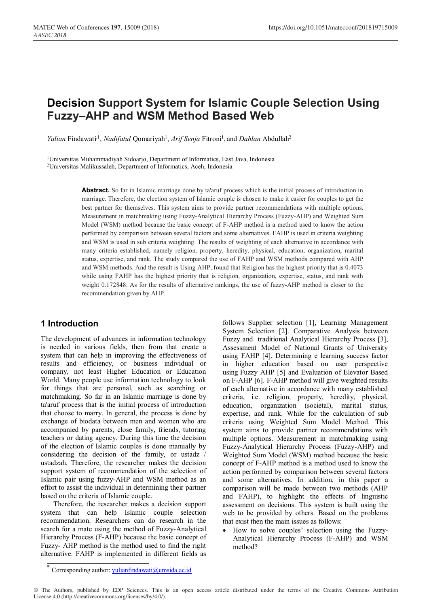# **Decision Support System for Islamic Couple Selection Using Fuzzy–AHP and WSM Method Based Web**

Yulian Findawati<sup>, 1</sup>, *Nadifatul* Qomariyah<sup>1</sup>, *Arif Senja* Fitroni<sup>1</sup>, and *Dahlan* Abdullah<sup>2</sup>

1Universitas Muhammadiyah Sidoarjo, Department of Informatics, East Java, Indonesia 2Universitas Malikussaleh, Department of Informatics, Aceh, Indonesia

> **Abstract.** So far in Islamic marriage done by ta'aruf process which is the initial process of introduction in marriage. Therefore, the election system of Islamic couple is chosen to make it easier for couples to get the best partner for themselves. This system aims to provide partner recommendations with multiple options. Measurement in matchmaking using Fuzzy-Analytical Hierarchy Process (Fuzzy-AHP) and Weighted Sum Model (WSM) method because the basic concept of F-AHP method is a method used to know the action performed by comparison between several factors and some alternatives. FAHP is used in criteria weighting and WSM is used in sub criteria weighting. The results of weighting of each alternative in accordance with many criteria established, namely religion, property, heredity, physical, education, organization, marital status, expertise, and rank. The study compared the use of FAHP and WSM methods compared with AHP and WSM methods. And the result is Using AHP, found that Religion has the highest priority that is 0.4073 while using FAHP has the highest priority that is religion, organization, expertise, status, and rank with weight 0.172848. As for the results of alternative rankings, the use of fuzzy-AHP method is closer to the recommendation given by AHP.

# **1 Introduction**

The development of advances in information technology is needed in various fields, then from that create a system that can help in improving the effectiveness of results and efficiency, or business individual or company, not least Higher Education or Education World. Many people use information technology to look for things that are personal, such as searching or matchmaking. So far in an Islamic marriage is done by ta'aruf process that is the initial process of introduction that choose to marry. In general, the process is done by exchange of biodata between men and women who are accompanied by parents, close family, friends, tutoring teachers or dating agency. During this time the decision of the election of Islamic couples is done manually by considering the decision of the family, or ustadz / ustadzah. Therefore, the researcher makes the decision support system of recommendation of the selection of Islamic pair using fuzzy-AHP and WSM method as an effort to assist the individual in determining their partner based on the criteria of Islamic couple.

 Therefore, the researcher makes a decision support system that can help Islamic couple selection recommendation. Researchers can do research in the search for a mate using the method of Fuzzy-Analytical Hierarchy Process (F-AHP) because the basic concept of Fuzzy- AHP method is the method used to find the right alternative. FAHP is implemented in different fields as

follows Supplier selection [1], Learning Management System Selection [2]. Comparative Analysis between Fuzzy and traditional Analytical Hierarchy Process [3], Assessment Model of National Grants of University using FAHP [4], Determining e learning success factor in higher education based on user perspective using Fuzzy AHP [5] and Evaluation of Elevator Based on F-AHP [6]. F-AHP method will give weighted results of each alternative in accordance with many established criteria, i.e. religion, property, heredity, physical, education, organization (societal), marital status, expertise, and rank. While for the calculation of sub criteria using Weighted Sum Model Method. This system aims to provide partner recommendations with multiple options. Measurement in matchmaking using Fuzzy-Analytical Hierarchy Process (Fuzzy-AHP) and Weighted Sum Model (WSM) method because the basic concept of F-AHP method is a method used to know the action performed by comparison between several factors and some alternatives. In addition, in this paper a comparison will be made between two methods (AHP and FAHP), to highlight the effects of linguistic assessment on decisions. This system is built using the web to be provided by others. Based on the problems that exist then the main issues as follows:

• How to solve couples' selection using the Fuzzy-Analytical Hierarchy Process (F-AHP) and WSM method?

© The Authors, published by EDP Sciences. This is an open access article distributed under the terms of the Creative Commons Attribution License 4.0 (http://creativecommons.org/licenses/by/4.0/).

Corresponding author: yulianfindawati@umsida.ac.id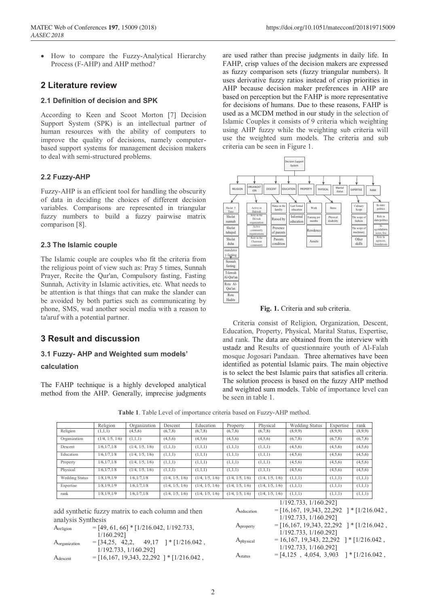• How to compare the Fuzzy-Analytical Hierarchy Process (F-AHP) and AHP method?

# **2 Literature review**

## **2.1 Definition of decision and SPK**

According to Keen and Scoot Morton [7] Decision Support System (SPK) is an intellectual partner of human resources with the ability of computers to improve the quality of decisions, namely computerbased support systems for management decision makers to deal with semi-structured problems.

#### **2.2 Fuzzy-AHP**

Fuzzy-AHP is an efficient tool for handling the obscurity of data in deciding the choices of different decision variables. Comparisons are represented in triangular fuzzy numbers to build a fuzzy pairwise matrix comparison [8].

#### **2.3 The Islamic couple**

The Islamic couple are couples who fit the criteria from the religious point of view such as: Pray 5 times, Sunnah Prayer, Recite the Qur'an, Compulsory fasting, Fasting Sunnah, Activity in Islamic activities, etc. What needs to be attention is that things that can make the slander can be avoided by both parties such as communicating by phone, SMS, wad another social media with a reason to ta'aruf with a potential partner.

# **3 Result and discussion**

#### **3.1 Fuzzy- AHP and Weighted sum models'**

### **calculation**

The FAHP technique is a highly developed analytical method from the AHP. Generally, imprecise judgments

are used rather than precise judgments in daily life. In FAHP, crisp values of the decision makers are expressed as fuzzy comparison sets (fuzzy triangular numbers). It uses derivative fuzzy ratios instead of crisp priorities in AHP because decision maker preferences in AHP are based on perception but the FAHP is more representative for decisions of humans. Due to these reasons, FAHP is used as a MCDM method in our study in the selection of Islamic Couples it consists of 9 criteria which weighting using AHP fuzzy while the weighting sub criteria will use the weighted sum models. The criteria and sub criteria can be seen in Figure 1.



**Fig. 1.** Criteria and sub criteria.

Criteria consist of Religion, Organization, Descent, Education, Property, Physical, Marital Status, Expertise, and rank. The data are obtained from the interview with ustadz and Results of questionnaire youth of Al-Falah mosque Jogosari Pandaan. Three alternatives have been identified as potential Islamic pairs. The main objective is to select the best Islamic pairs that satisfies all criteria. The solution process is based on the fuzzy AHP method and weighted sum models. Table of importance level can be seen in table 1.

|  | Table 1. Table Level of importance criteria based on Fuzzy-AHP method. |  |
|--|------------------------------------------------------------------------|--|
|  |                                                                        |  |

| Religion<br>(6,7,8)<br>(4,5,6)<br>(1,1,1)<br>(1/4, 1/5, 1/6)<br>Organization<br>(1,1,1)<br>(4,5,6)<br>$1/6$ , $1/7$ , $1/8$<br>(1/4, 1/5, 1/6)<br>(1,1,1)<br>Descent<br>$1/6$ , $1/7$ , $1/8$<br>(1/4, 1/5, 1/6)<br>(1,1,1)<br>Education<br>$1/6$ , $1/7$ , $1/8$<br>(1/4, 1/5, 1/6)<br>(1,1,1)<br>Property<br>Physical<br>$1/6$ , $1/7$ , $1/8$<br>(1/4, 1/5, 1/6)<br>(1,1,1)<br><b>Wedding Status</b><br>$1/8$ , $1/9$ , $1/9$<br>1/6, 1/7, 1/8<br>(1/4, 1/5, 1/6)<br>$1/8$ , $1/9$ , $1/9$<br>$1/6$ , $1/7$ , $1/8$<br>(1/4, 1/5, 1/6)<br>Expertise<br>$1/8$ , $1/9$ , $1/9$<br>$1/6$ , $1/7$ , $1/8$<br>(1/4, 1/5, 1/6)<br>rank | (6,7,8)         | (6,7,8)               |                 |                                                 | Expertise | rank    |
|-------------------------------------------------------------------------------------------------------------------------------------------------------------------------------------------------------------------------------------------------------------------------------------------------------------------------------------------------------------------------------------------------------------------------------------------------------------------------------------------------------------------------------------------------------------------------------------------------------------------------------------|-----------------|-----------------------|-----------------|-------------------------------------------------|-----------|---------|
|                                                                                                                                                                                                                                                                                                                                                                                                                                                                                                                                                                                                                                     |                 |                       | (6,7,8)         | (8,9,9)                                         | (8,9,9)   | (8,9,9) |
|                                                                                                                                                                                                                                                                                                                                                                                                                                                                                                                                                                                                                                     | (4,5,6)         | (4,5,6)               | (4,5,6)         | (6,7,8)                                         | (6,7,8)   | (6,7,8) |
|                                                                                                                                                                                                                                                                                                                                                                                                                                                                                                                                                                                                                                     | (1,1,1)         | (1,1,1)               | (1,1,1)         | (4,5,6)                                         | (4,5,6)   | (4,5,6) |
|                                                                                                                                                                                                                                                                                                                                                                                                                                                                                                                                                                                                                                     | (1,1,1)         | (1,1,1)               | (1,1,1)         | (4,5,6)                                         | (4,5,6)   | (4,5,6) |
|                                                                                                                                                                                                                                                                                                                                                                                                                                                                                                                                                                                                                                     | (1,1,1)         | (1,1,1)               | (1,1,1)         | (4,5,6)                                         | (4,5,6)   | (4,5,6) |
|                                                                                                                                                                                                                                                                                                                                                                                                                                                                                                                                                                                                                                     | (1,1,1)         | (1,1,1)               | (1,1,1)         | (4,5,6)                                         | (4,5,6)   | (4,5,6) |
|                                                                                                                                                                                                                                                                                                                                                                                                                                                                                                                                                                                                                                     | (1/4, 1/5, 1/6) | (1/4, 1/5, 1/6)       | (1/4, 1/5, 1/6) | (1,1,1)                                         | (1,1,1)   | (1,1,1) |
|                                                                                                                                                                                                                                                                                                                                                                                                                                                                                                                                                                                                                                     | (1/4, 1/5, 1/6) | (1/4, 1/5, 1/6)       | (1/4, 1/5, 1/6) | (1,1,1)                                         | (1,1,1)   | (1,1,1) |
|                                                                                                                                                                                                                                                                                                                                                                                                                                                                                                                                                                                                                                     | (1/4, 1/5, 1/6) | (1/4, 1/5, 1/6)       | (1/4, 1/5, 1/6) | (1,1,1)                                         | (1,1,1)   | (1,1,1) |
|                                                                                                                                                                                                                                                                                                                                                                                                                                                                                                                                                                                                                                     |                 |                       |                 | 1/192.733, 1/160.2921                           |           |         |
| add synthetic fuzzy matrix to each column and then                                                                                                                                                                                                                                                                                                                                                                                                                                                                                                                                                                                  |                 | Aeducation            |                 | $=[16,167, 19,343, 22,292]$ $*$ $[1/216,042]$ , |           |         |
| analysis Synthesis                                                                                                                                                                                                                                                                                                                                                                                                                                                                                                                                                                                                                  |                 |                       |                 | 1/192.733, 1/160.2921                           |           |         |
| $=[49, 61, 66]$ * [1/216.042, 1/192.733,<br>$A_{\text{religion}}$<br>$1/160.292$ ]                                                                                                                                                                                                                                                                                                                                                                                                                                                                                                                                                  |                 | Aproperty             |                 | $=[16,167, 19,343, 22,292]$  * $[1/216.042,$    |           |         |
|                                                                                                                                                                                                                                                                                                                                                                                                                                                                                                                                                                                                                                     |                 | 1/192.733, 1/160.2921 |                 |                                                 |           |         |
| $=[34,25, 42,2, 49,17]$ * [1/216.042,                                                                                                                                                                                                                                                                                                                                                                                                                                                                                                                                                                                               |                 | Aphysical             |                 | $= 16,167, 19,343, 22,292$  * [1/216.042,       |           |         |
| A <sub>organization</sub><br>1/192.733, 1/160.2921                                                                                                                                                                                                                                                                                                                                                                                                                                                                                                                                                                                  |                 |                       |                 | 1/192.733, 1/160.2921                           |           |         |
| $=[16,167, 19,343, 22,292]$ * [1/216.042,<br>Adescent                                                                                                                                                                                                                                                                                                                                                                                                                                                                                                                                                                               |                 | Astatus               |                 | $=[4,125, 4,054, 3,903]$ $[1/216.042,$          |           |         |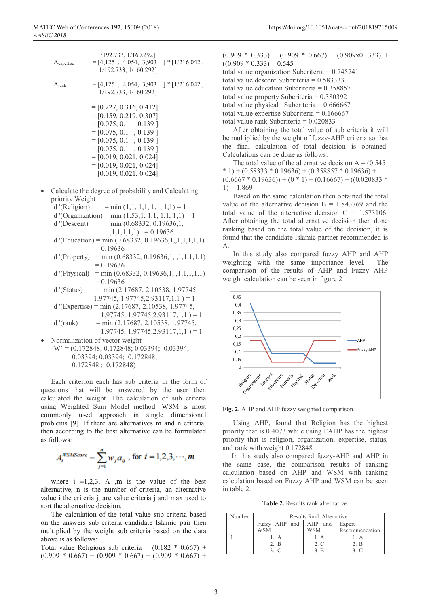| Aexpertise | 1/192.733, 1/160.2921<br>$=[4,125, 4,054, 3,903]$ $[1/216.042,$<br>1/192.733, 1/160.292]                                                                                                                                                         |  |
|------------|--------------------------------------------------------------------------------------------------------------------------------------------------------------------------------------------------------------------------------------------------|--|
| Arank      | $=[4,125, 4,054, 3,903]$ $[1/216.042,$<br>1/192.733, 1/160.2921                                                                                                                                                                                  |  |
|            | $=[0.227, 0.316, 0.412]$<br>$=[0.159, 0.219, 0.307]$<br>$=[0.075, 0.1, 0.139]$<br>$=[0.075, 0.1, 0.139]$<br>$=[0.075, 0.1, 0.139]$<br>$=[0.075, 0.1, 0.139]$<br>$=[0.019, 0.021, 0.024]$<br>$=[0.019, 0.021, 0.024]$<br>$=[0.019, 0.021, 0.024]$ |  |

• Calculate the degree of probability and Calculating priority Weight

| $=$ min $(1,1, 1,1, 1,1, 1,1) = 1$<br>d '(Religion)        |  |
|------------------------------------------------------------|--|
| d '(Organization) = min $(1.53,1, 1,1, 1,1, 1,1) = 1$      |  |
| $=$ min (0.68332, 0.19636,1,<br>d '(Descent)               |  |
| $,1,1,1,1,1) = 0.19636$                                    |  |
| d '(Education) = min (0.68332, 0.19636, 1, 1, 1, 1, 1, 1)  |  |
| $= 0.19636$                                                |  |
| $d$ (Property) = min (0.68332, 0.19636,1, ,1,1,1,1,1)      |  |
| $= 0.19636$                                                |  |
| d '(Physical) = min $(0.68332, 0.19636, 1, 1, 1, 1, 1, 1)$ |  |
| $= 0.19636$                                                |  |
| $=$ min (2.17687, 2.10538, 1.97745,<br>d '(Status)         |  |
| $1.97745, 1.97745, 2.93117, 1, 1) = 1$                     |  |
| d '(Expertise) = min $(2.17687, 2.10538, 1.97745,$         |  |
| $1.97745, 1.97745, 2.93117, 1, 1) = 1$                     |  |
| $=$ min (2.17687, 2.10538, 1.97745,<br>d'(rank)            |  |
| $1.97745, 1.97745, 2.93117, 1, 1) = 1$                     |  |
| Normalization of vector weight                             |  |

W' = (0.172848; 0.172848; 0.03394; 0.03394; 0.03394; 0.03394; 0.172848; 0.172848 ; 0.172848)

Each criterion each has sub criteria in the form of questions that will be answered by the user then calculated the weight. The calculation of sub criteria using Weighted Sum Model method. WSM is most commonly used approach in single dimensional problems [9]. If there are alternatives m and n criteria, then according to the best alternative can be formulated as follows:

$$
A_i^{WSMScore} = \sum_{j=1}^n w_j a_{ij}
$$
, for  $i = 1, 2, 3, \cdots, m$ 

where  $i = 1,2,3, \Lambda$ , m is the value of the best alternative, n is the number of criteria, an alternative value i the criteria j, are value criteria j and max used to sort the alternative decision.

The calculation of the total value sub criteria based on the answers sub criteria candidate Islamic pair then multiplied by the weight sub criteria based on the data above is as follows:

Total value Religious sub criteria =  $(0.182 * 0.667)$  +  $(0.909 * 0.667) + (0.909 * 0.667) + (0.909 * 0.667) +$   $(0.909 * 0.333) + (0.909 * 0.667) + (0.909 \text{ x0} .333) +$  $((0.909 * 0.333) = 0.545)$ total value organization Subcriteria = 0.745741 total value descent Subcriteria = 0.583333 total value education Subcriteria = 0.358857 total value property Subcriteria = 0.380392 total value physical Subcriteria =  $0.666667$ total value expertise Subcriteria =  $0.166667$ 

total value rank Subcriteria = 0,020833

After obtaining the total value of sub criteria it will be multiplied by the weight of fuzzy-AHP criteria so that the final calculation of total decision is obtained. Calculations can be done as follows:

The total value of the alternative decision  $A = (0.545)$  $*$  1) + (0.58333  $*$  0.19636) + (0.358857  $*$  0.19636) +  $(0.6667 * 0.19636)) + (0 * 1) + (0.16667) + ((0.020833 *$  $1) = 1.869$ 

Based on the same calculation then obtained the total value of the alternative decision  $B = 1.843769$  and the total value of the alternative decision  $C = 1.573106$ . After obtaining the total alternative decision then done ranking based on the total value of the decision, it is found that the candidate Islamic partner recommended is A.

In this study also compared fuzzy AHP and AHP weighting with the same importance level. The comparison of the results of AHP and Fuzzy AHP weight calculation can be seen in figure 2



**Fig. 2.** AHP and AHP fuzzy weighted comparison.

Using AHP, found that Religion has the highest priority that is 0.4073 while using FAHP has the highest priority that is religion, organization, expertise, status, and rank with weight 0.172848

 In this study also compared fuzzy-AHP and AHP in the same case, the comparison results of ranking calculation based on AHP and WSM with ranking calculation based on Fuzzy AHP and WSM can be seen in table 2.

**Table 2.** Results rank alternative.

| Number | Results Rank Alternative |            |                |
|--------|--------------------------|------------|----------------|
|        | Fuzzy AHP and AHP and    |            | Expert         |
|        | WSM                      | <b>WSM</b> | Recommendation |
|        |                          |            |                |
|        | 2 B                      | 2. C       | $2 \text{ B}$  |
|        |                          |            |                |